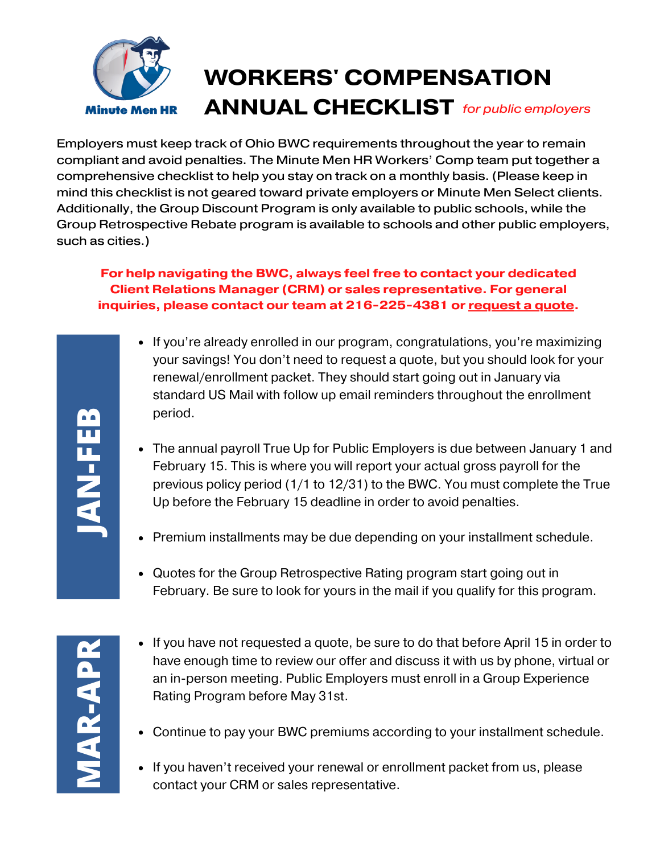

Employers must keep track of Ohio BWC requirements throughout the year to remain compliant and avoid penalties. The Minute Men HR Workers' Comp team put together a comprehensive checklist to help you stay on track on a monthly basis. (Please keep in mind this checklist is not geared toward private employers or Minute Men Select clients. Additionally, the Group Discount Program is only available to public schools, while the Group Retrospective Rebate program is available to schools and other public employers, such as cities.)

## **For help navigating the BWC, always feel free to contact your dedicated Client Relations Manager (CRM) or sales representative. For general inquiries, please contact our team at 216-225-4381 or [request](https://www.minutemenhr.com/request-quote.php) a quote.**

- If you're already enrolled in our program, congratulations, you're maximizing your savings! You don't need to request a quote, but you should look for your renewal/enrollment packet. They should start going out in January via standard US Mail with follow up email reminders throughout the enrollment period.
- The annual payroll True Up for Public Employers is due between January 1 and February 15. This is where you will report your actual gross payroll for the previous policy period (1/1 to 12/31) to the BWC. You must complete the True Up before the February 15 deadline in order to avoid penalties.
- Premium installments may be due depending on your installment schedule.
- Quotes for the Group Retrospective Rating program start going out in February. Be sure to look for yours in the mail if you qualify for this program.

**J A**

**N-FEB**

- If you have not requested a quote, be sure to do that before April 15 in order to have enough time to review our offer and discuss it with us by phone, virtual or an in-person meeting. Public Employers must enroll in a Group Experience Rating Program before May 31st.
- Continue to pay your BWC premiums according to your installment schedule.
- **If you haven't received your renewal or enrollment packet from us, please** contact your CRM or sales representative.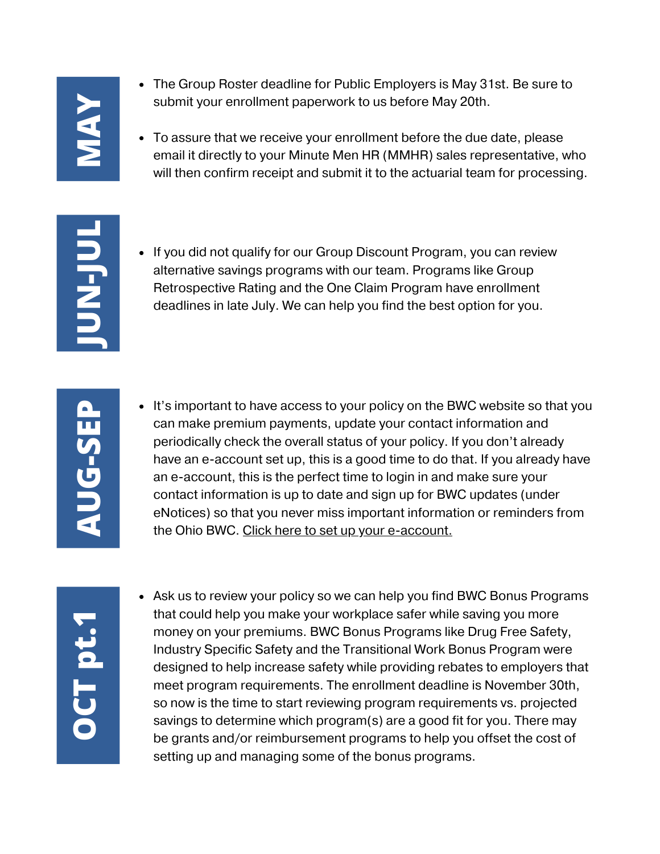## **MAY**

- The Group Roster deadline for Public Employers is May 31st. Be sure to submit your enrollment paperwork to us before May 20th.
- To assure that we receive your enrollment before the due date, please email it directly to your Minute Men HR (MMHR) sales representative, who will then confirm receipt and submit it to the actuarial team for processing.

**J UN-J UL**

• If you did not qualify for our Group Discount Program, you can review alternative savings programs with our team. Programs like Group Retrospective Rating and the One Claim Program have enrollment deadlines in late July. We can help you find the best option for you.

It's important to have access to your policy on the BWC website so that you can make premium payments, update your contact information and periodically check the overall status of your policy. If you don't already have an e-account set up, this is a good time to do that. If you already have an e-account, this is the perfect time to login in and make sure your contact information is up to date and sign up for BWC updates (under eNotices) so that you never miss important information or reminders from the Ohio BWC. [Click](https://info.bwc.ohio.gov/wps/portal/gov/bwc/for-employers/workers-compensation-overview/creating-employer-e-account) here to set up your e-account.

• Ask us to review your policy so we can help you find BWC Bonus Programs that could help you make your workplace safer while saving you more money on your premiums. BWC Bonus Programs like Drug Free Safety, Industry Specific Safety and the Transitional Work Bonus Program were designed to help increase safety while providing rebates to employers that meet program requirements. The enrollment deadline is November 30th, so now is the time to start reviewing program requirements vs. projected savings to determine which program(s) are a good fit for you. There may be grants and/or reimbursement programs to help you offset the cost of France of the bonus Programs.<br>
Industry Specific Safety and the Transitional Work Bonus<br>
designed to help increase safety while providing rebate<br>
meet program requirements. The enrollment deadline is<br>
so now is the time to